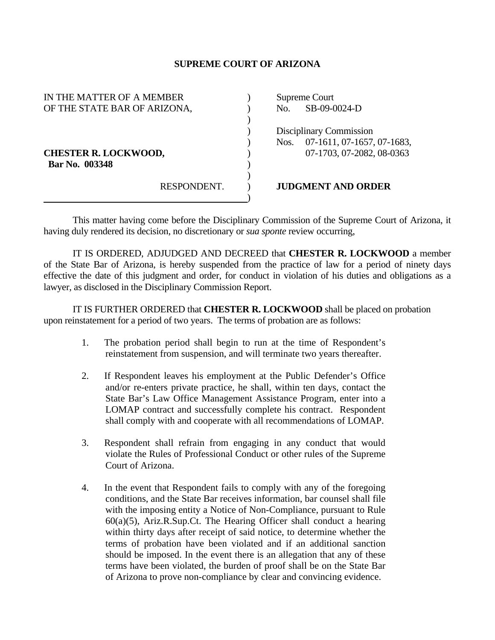## **SUPREME COURT OF ARIZONA**

| IN THE MATTER OF A MEMBER    |             | Supreme Court           |                            |
|------------------------------|-------------|-------------------------|----------------------------|
| OF THE STATE BAR OF ARIZONA, |             | No.                     | SB-09-0024-D               |
|                              |             |                         |                            |
|                              |             | Disciplinary Commission |                            |
|                              |             | Nos.                    | 07-1611, 07-1657, 07-1683, |
| <b>CHESTER R. LOCKWOOD,</b>  |             |                         | 07-1703, 07-2082, 08-0363  |
| Bar No. 003348               |             |                         |                            |
|                              |             |                         |                            |
|                              | RESPONDENT. |                         | <b>JUDGMENT AND ORDER</b>  |
|                              |             |                         |                            |

 This matter having come before the Disciplinary Commission of the Supreme Court of Arizona, it having duly rendered its decision, no discretionary or *sua sponte* review occurring,

 IT IS ORDERED, ADJUDGED AND DECREED that **CHESTER R. LOCKWOOD** a member of the State Bar of Arizona, is hereby suspended from the practice of law for a period of ninety days effective the date of this judgment and order, for conduct in violation of his duties and obligations as a lawyer, as disclosed in the Disciplinary Commission Report.

 IT IS FURTHER ORDERED that **CHESTER R. LOCKWOOD** shall be placed on probation upon reinstatement for a period of two years. The terms of probation are as follows:

- 1. The probation period shall begin to run at the time of Respondent's reinstatement from suspension, and will terminate two years thereafter.
- 2. If Respondent leaves his employment at the Public Defender's Office and/or re-enters private practice, he shall, within ten days, contact the State Bar's Law Office Management Assistance Program, enter into a LOMAP contract and successfully complete his contract. Respondent shall comply with and cooperate with all recommendations of LOMAP.
- 3. Respondent shall refrain from engaging in any conduct that would violate the Rules of Professional Conduct or other rules of the Supreme Court of Arizona.
- 4. In the event that Respondent fails to comply with any of the foregoing conditions, and the State Bar receives information, bar counsel shall file with the imposing entity a Notice of Non-Compliance, pursuant to Rule  $60(a)(5)$ , Ariz.R.Sup.Ct. The Hearing Officer shall conduct a hearing within thirty days after receipt of said notice, to determine whether the terms of probation have been violated and if an additional sanction should be imposed. In the event there is an allegation that any of these terms have been violated, the burden of proof shall be on the State Bar of Arizona to prove non-compliance by clear and convincing evidence.